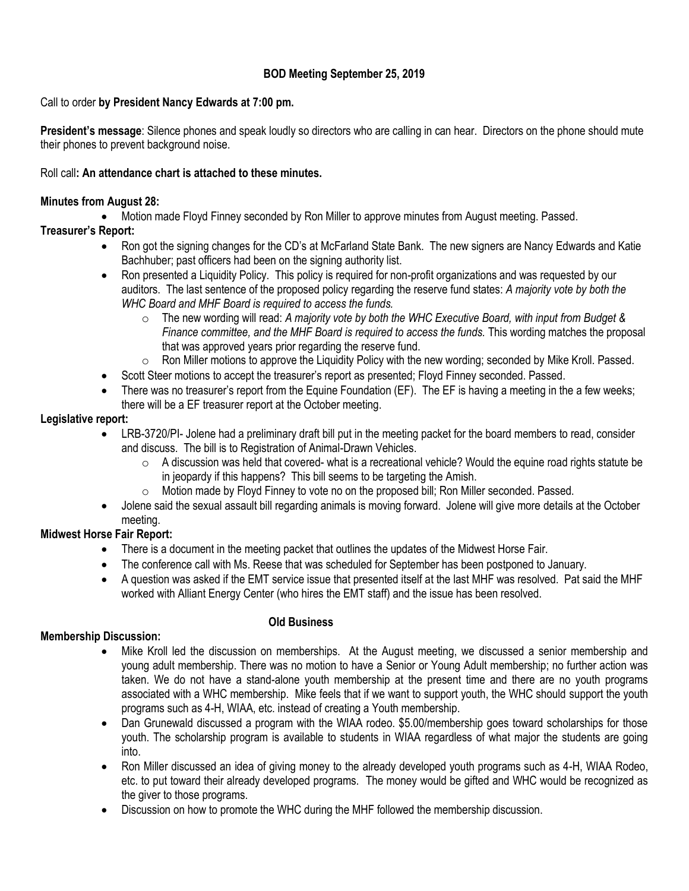# **BOD Meeting September 25, 2019**

## Call to order **by President Nancy Edwards at 7:00 pm.**

**President's message**: Silence phones and speak loudly so directors who are calling in can hear. Directors on the phone should mute their phones to prevent background noise.

#### Roll call**: An attendance chart is attached to these minutes.**

#### **Minutes from August 28:**

Motion made Floyd Finney seconded by Ron Miller to approve minutes from August meeting. Passed.

# **Treasurer's Report:**

- Ron got the signing changes for the CD's at McFarland State Bank. The new signers are Nancy Edwards and Katie Bachhuber; past officers had been on the signing authority list.
- Ron presented a Liquidity Policy. This policy is required for non-profit organizations and was requested by our auditors. The last sentence of the proposed policy regarding the reserve fund states: *A majority vote by both the WHC Board and MHF Board is required to access the funds.* 
	- o The new wording will read: *A majority vote by both the WHC Executive Board, with input from Budget & Finance committee, and the MHF Board is required to access the funds.* This wording matches the proposal that was approved years prior regarding the reserve fund.
	- $\circ$  Ron Miller motions to approve the Liquidity Policy with the new wording; seconded by Mike Kroll. Passed.
- Scott Steer motions to accept the treasurer's report as presented; Floyd Finney seconded. Passed.
- There was no treasurer's report from the Equine Foundation (EF). The EF is having a meeting in the a few weeks; there will be a EF treasurer report at the October meeting.

#### **Legislative report:**

- LRB-3720/PI- Jolene had a preliminary draft bill put in the meeting packet for the board members to read, consider and discuss. The bill is to Registration of Animal-Drawn Vehicles.
	- $\circ$  A discussion was held that covered- what is a recreational vehicle? Would the equine road rights statute be in jeopardy if this happens? This bill seems to be targeting the Amish.
	- $\circ$  Motion made by Floyd Finney to vote no on the proposed bill; Ron Miller seconded. Passed.
- Jolene said the sexual assault bill regarding animals is moving forward. Jolene will give more details at the October meeting.

## **Midwest Horse Fair Report:**

- There is a document in the meeting packet that outlines the updates of the Midwest Horse Fair.
- The conference call with Ms. Reese that was scheduled for September has been postponed to January.
- A question was asked if the EMT service issue that presented itself at the last MHF was resolved. Pat said the MHF worked with Alliant Energy Center (who hires the EMT staff) and the issue has been resolved.

## **Old Business**

## **Membership Discussion:**

- Mike Kroll led the discussion on memberships. At the August meeting, we discussed a senior membership and young adult membership. There was no motion to have a Senior or Young Adult membership; no further action was taken. We do not have a stand-alone youth membership at the present time and there are no youth programs associated with a WHC membership. Mike feels that if we want to support youth, the WHC should support the youth programs such as 4-H, WIAA, etc. instead of creating a Youth membership.
- Dan Grunewald discussed a program with the WIAA rodeo. \$5.00/membership goes toward scholarships for those youth. The scholarship program is available to students in WIAA regardless of what major the students are going into.
- Ron Miller discussed an idea of giving money to the already developed youth programs such as 4-H, WIAA Rodeo, etc. to put toward their already developed programs. The money would be gifted and WHC would be recognized as the giver to those programs.
- Discussion on how to promote the WHC during the MHF followed the membership discussion.